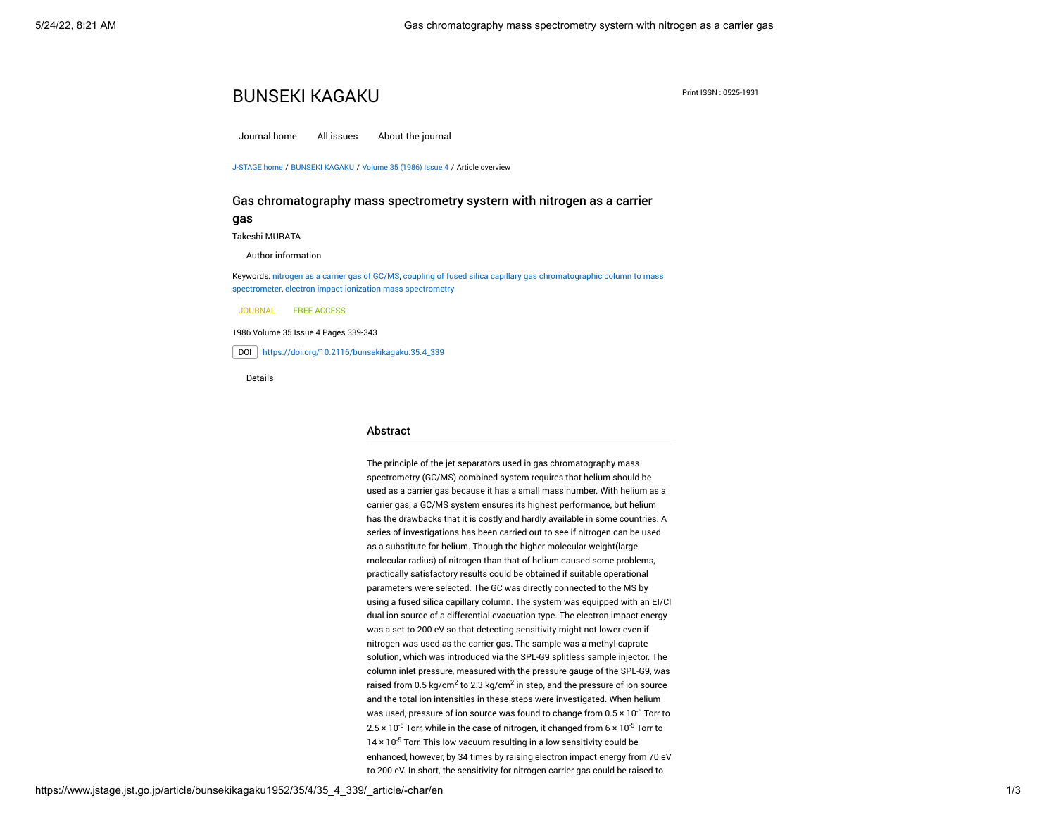# **BUNSEKI KAGAKU** Print ISSN : 0525-1931

[Journal home](https://www.jstage.jst.go.jp/browse/bunsekikagaku/-char/en) [All issues](https://www.jstage.jst.go.jp/browse/bunsekikagaku/list/-char/en) [About the journal](https://www.jstage.jst.go.jp/browse/bunsekikagaku/_pubinfo/-char/en)

[J-STAGE home](https://www.jstage.jst.go.jp/browse/-char/en) / [BUNSEKI KAGAKU](https://www.jstage.jst.go.jp/browse/bunsekikagaku/-char/en) / [Volume 35 \(1986\) Issue 4](https://www.jstage.jst.go.jp/browse/bunsekikagaku/35/4/_contents/-char/en) / Article overview

## Gas chromatography mass spectrometry systern with nitrogen as a carrier

gas

[Takeshi MURATA](https://www.jstage.jst.go.jp/search/global/_search/-char/en?item=8&word=Takeshi+MURATA)

Author information

Keywords: [nitrogen as a carrier gas of GC/MS](https://www.jstage.jst.go.jp/search/global/_search/-char/en?item=5&word=nitrogen+as+a+carrier+gas+of+GC%2FMS), [coupling of fused silica capillary gas chromatographic column to mass](https://www.jstage.jst.go.jp/search/global/_search/-char/en?item=5&word=coupling+of+fused+silica+capillary+gas+chromatographic+column+to+mass+spectrometer) spectrometer, [electron impact ionization mass spectrometry](https://www.jstage.jst.go.jp/search/global/_search/-char/en?item=5&word=electron+impact+ionization+mass+spectrometry)

JOURNAL FREE ACCESS

1986 Volume 35 Issue 4 Pages 339-343

DOI [https://doi.org/10.2116/bunsekikagaku.35.4\\_339](https://doi.org/10.2116/bunsekikagaku.35.4_339)

Details

#### Abstract

The principle of the jet separators used in gas chromatography mass spectrometry (GC/MS) combined system requires that helium should be used as a carrier gas because it has a small mass number. With helium as a carrier gas, a GC/MS system ensures its highest performance, but helium has the drawbacks that it is costly and hardly available in some countries. A series of investigations has been carried out to see if nitrogen can be used as a substitute for helium. Though the higher molecular weight(large molecular radius) of nitrogen than that of helium caused some problems, practically satisfactory results could be obtained if suitable operational parameters were selected. The GC was directly connected to the MS by using a fused silica capillary column. The system was equipped with an EI/CI dual ion source of a differential evacuation type. The electron impact energy was a set to 200 eV so that detecting sensitivity might not lower even if nitrogen was used as the carrier gas. The sample was a methyl caprate solution, which was introduced via the SPL-G9 splitless sample injector. The column inlet pressure, measured with the pressure gauge of the SPL-G9, was raised from 0.5 kg/cm $^2$  to 2.3 kg/cm $^2$  in step, and the pressure of ion source and the total ion intensities in these steps were investigated. When helium was used, pressure of ion source was found to change from 0.5  $\times$  10<sup>-5</sup> Torr to 2.5 × 10<sup>-5</sup> Torr, while in the case of nitrogen, it changed from 6 × 10<sup>-5</sup> Torr to 14  $\times$  10<sup>-5</sup> Torr. This low vacuum resulting in a low sensitivity could be enhanced, however, by 34 times by raising electron impact energy from 70 eV to 200 eV. In short, the sensitivity for nitrogen carrier gas could be raised to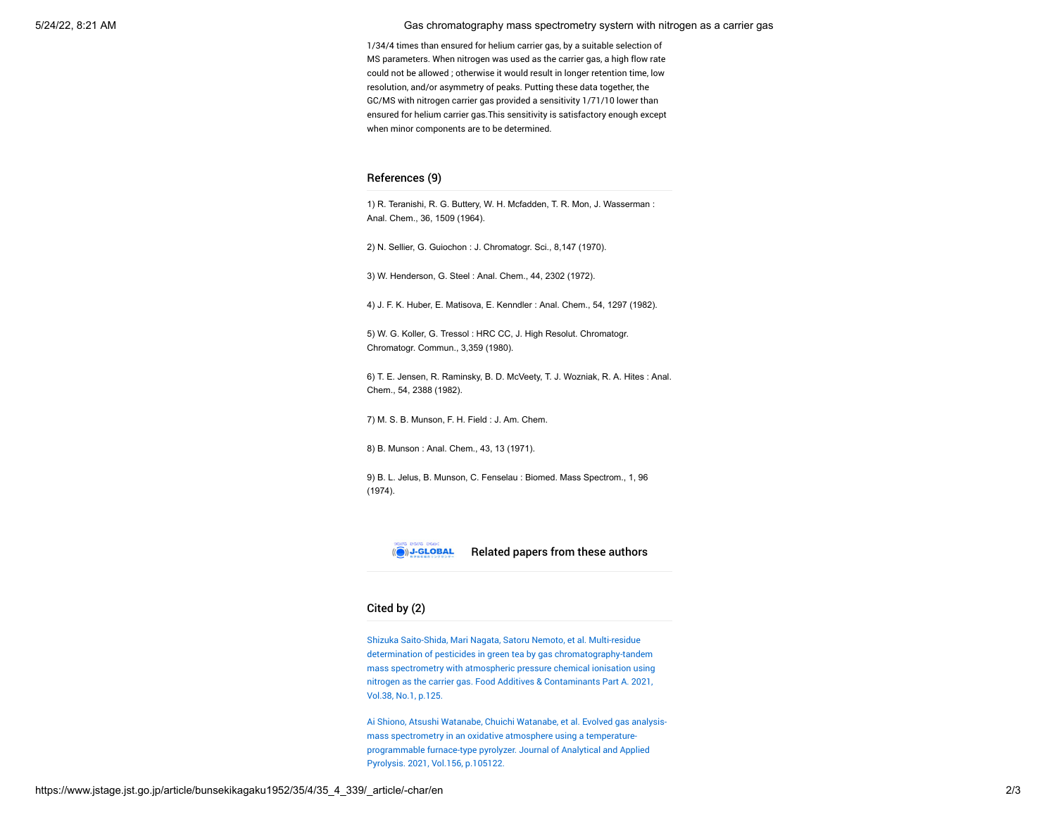5/24/22, 8:21 AM Gas chromatography mass spectrometry systern with nitrogen as a carrier gas

1/34/4 times than ensured for helium carrier gas, by a suitable selection of MS parameters. When nitrogen was used as the carrier gas, a high flow rate could not be allowed ; otherwise it would result in longer retention time, low resolution, and/or asymmetry of peaks. Putting these data together, the GC/MS with nitrogen carrier gas provided a sensitivity 1/71/10 lower than ensured for helium carrier gas.This sensitivity is satisfactory enough except when minor components are to be determined.

### References (9)

1) R. Teranishi, R. G. Buttery, W. H. Mcfadden, T. R. Mon, J. Wasserman : Anal. Chem., 36, 1509 (1964).

2) N. Sellier, G. Guiochon : J. Chromatogr. Sci., 8,147 (1970).

3) W. Henderson, G. Steel : Anal. Chem., 44, 2302 (1972).

4) J. F. K. Huber, E. Matisova, E. Kenndler : Anal. Chem., 54, 1297 (1982).

5) W. G. Koller, G. Tressol : HRC CC, J. High Resolut. Chromatogr. Chromatogr. Commun., 3,359 (1980).

6) T. E. Jensen, R. Raminsky, B. D. McVeety, T. J. Wozniak, R. A. Hites : Anal. Chem., 54, 2388 (1982).

7) M. S. B. Munson, F. H. Field : J. Am. Chem.

8) B. Munson : Anal. Chem., 43, 13 (1971).

9) B. L. Jelus, B. Munson, C. Fenselau : Biomed. Mass Spectrom., 1, 96 (1974).



Related papers from these authors

# Cited by (2)

Shizuka Saito-Shida, Mari Nagata, Satoru Nemoto, et al. Multi-residue determination of pesticides in green tea by gas chromatography-tandem [mass spectrometry with atmospheric pressure chemical ionisation using](https://jlc.jst.go.jp/DN/JLC/20169450065?type=list&lang=en&from=J-STAGE&dispptn=1) nitrogen as the carrier gas. Food Additives & Contaminants Part A. 2021, Vol.38, No.1, p.125.

[Ai Shiono, Atsushi Watanabe, Chuichi Watanabe, et al. Evolved gas analysis](https://jlc.jst.go.jp/DN/JLC/20182343443?type=list&lang=en&from=J-STAGE&dispptn=1)mass spectrometry in an oxidative atmosphere using a temperatureprogrammable furnace-type pyrolyzer. Journal of Analytical and Applied Pyrolysis. 2021, Vol.156, p.105122.